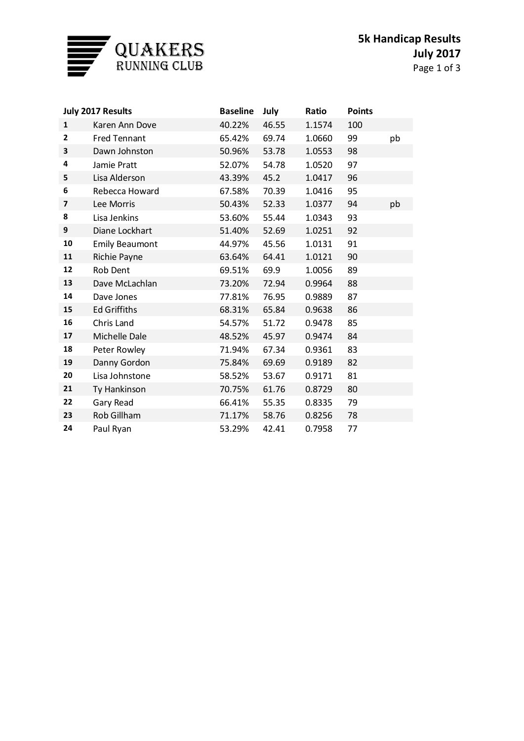

| July 2017 Results |                       | <b>Baseline</b> | July  | Ratio  | <b>Points</b> |    |
|-------------------|-----------------------|-----------------|-------|--------|---------------|----|
| $\mathbf{1}$      | Karen Ann Dove        | 40.22%          | 46.55 | 1.1574 | 100           |    |
| $\overline{2}$    | <b>Fred Tennant</b>   | 65.42%          | 69.74 | 1.0660 | 99            | pb |
| 3                 | Dawn Johnston         | 50.96%          | 53.78 | 1.0553 | 98            |    |
| 4                 | Jamie Pratt           | 52.07%          | 54.78 | 1.0520 | 97            |    |
| 5                 | Lisa Alderson         | 43.39%          | 45.2  | 1.0417 | 96            |    |
| 6                 | Rebecca Howard        | 67.58%          | 70.39 | 1.0416 | 95            |    |
| 7                 | Lee Morris            | 50.43%          | 52.33 | 1.0377 | 94            | pb |
| 8                 | Lisa Jenkins          | 53.60%          | 55.44 | 1.0343 | 93            |    |
| 9                 | Diane Lockhart        | 51.40%          | 52.69 | 1.0251 | 92            |    |
| 10                | <b>Emily Beaumont</b> | 44.97%          | 45.56 | 1.0131 | 91            |    |
| 11                | Richie Payne          | 63.64%          | 64.41 | 1.0121 | 90            |    |
| 12                | Rob Dent              | 69.51%          | 69.9  | 1.0056 | 89            |    |
| 13                | Dave McLachlan        | 73.20%          | 72.94 | 0.9964 | 88            |    |
| 14                | Dave Jones            | 77.81%          | 76.95 | 0.9889 | 87            |    |
| 15                | <b>Ed Griffiths</b>   | 68.31%          | 65.84 | 0.9638 | 86            |    |
| 16                | Chris Land            | 54.57%          | 51.72 | 0.9478 | 85            |    |
| 17                | Michelle Dale         | 48.52%          | 45.97 | 0.9474 | 84            |    |
| 18                | Peter Rowley          | 71.94%          | 67.34 | 0.9361 | 83            |    |
| 19                | Danny Gordon          | 75.84%          | 69.69 | 0.9189 | 82            |    |
| 20                | Lisa Johnstone        | 58.52%          | 53.67 | 0.9171 | 81            |    |
| 21                | Ty Hankinson          | 70.75%          | 61.76 | 0.8729 | 80            |    |
| 22                | Gary Read             | 66.41%          | 55.35 | 0.8335 | 79            |    |
| 23                | Rob Gillham           | 71.17%          | 58.76 | 0.8256 | 78            |    |
| 24                | Paul Ryan             | 53.29%          | 42.41 | 0.7958 | 77            |    |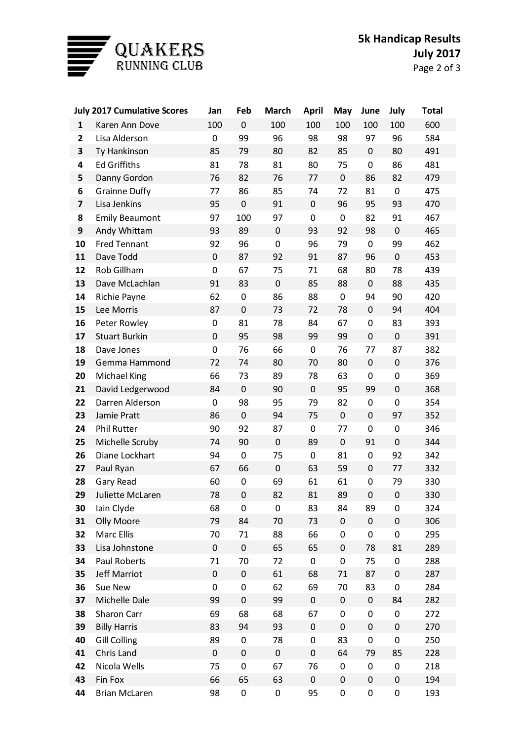

| <b>July 2017 Cumulative Scores</b> |                       | Jan       | Feb         | <b>March</b> | <b>April</b> | May       | June             | July             | <b>Total</b> |
|------------------------------------|-----------------------|-----------|-------------|--------------|--------------|-----------|------------------|------------------|--------------|
| $\mathbf{1}$                       | Karen Ann Dove        | 100       | $\mathbf 0$ | 100          | 100          | 100       | 100              | 100              | 600          |
| $\overline{\mathbf{2}}$            | Lisa Alderson         | 0         | 99          | 96           | 98           | 98        | 97               | 96               | 584          |
| 3                                  | Ty Hankinson          | 85        | 79          | 80           | 82           | 85        | $\pmb{0}$        | 80               | 491          |
| 4                                  | <b>Ed Griffiths</b>   | 81        | 78          | 81           | 80           | 75        | 0                | 86               | 481          |
| 5                                  | Danny Gordon          | 76        | 82          | 76           | 77           | $\pmb{0}$ | 86               | 82               | 479          |
| 6                                  | <b>Grainne Duffy</b>  | 77        | 86          | 85           | 74           | 72        | 81               | $\pmb{0}$        | 475          |
| $\overline{\mathbf{z}}$            | Lisa Jenkins          | 95        | $\mathbf 0$ | 91           | $\pmb{0}$    | 96        | 95               | 93               | 470          |
| 8                                  | <b>Emily Beaumont</b> | 97        | 100         | 97           | 0            | 0         | 82               | 91               | 467          |
| 9                                  | Andy Whittam          | 93        | 89          | $\pmb{0}$    | 93           | 92        | 98               | $\pmb{0}$        | 465          |
| 10                                 | <b>Fred Tennant</b>   | 92        | 96          | $\mathbf 0$  | 96           | 79        | 0                | 99               | 462          |
| 11                                 | Dave Todd             | $\pmb{0}$ | 87          | 92           | 91           | 87        | 96               | $\boldsymbol{0}$ | 453          |
| 12                                 | Rob Gillham           | 0         | 67          | 75           | 71           | 68        | 80               | 78               | 439          |
| 13                                 | Dave McLachlan        | 91        | 83          | $\pmb{0}$    | 85           | 88        | $\boldsymbol{0}$ | 88               | 435          |
| 14                                 | Richie Payne          | 62        | 0           | 86           | 88           | 0         | 94               | 90               | 420          |
| 15                                 | Lee Morris            | 87        | $\pmb{0}$   | 73           | 72           | 78        | $\pmb{0}$        | 94               | 404          |
| 16                                 | Peter Rowley          | 0         | 81          | 78           | 84           | 67        | $\boldsymbol{0}$ | 83               | 393          |
| 17                                 | <b>Stuart Burkin</b>  | $\pmb{0}$ | 95          | 98           | 99           | 99        | $\pmb{0}$        | $\pmb{0}$        | 391          |
| 18                                 | Dave Jones            | 0         | 76          | 66           | $\mathbf 0$  | 76        | 77               | 87               | 382          |
| 19                                 | Gemma Hammond         | 72        | 74          | 80           | 70           | 80        | $\pmb{0}$        | $\pmb{0}$        | 376          |
| 20                                 | <b>Michael King</b>   | 66        | 73          | 89           | 78           | 63        | $\mathbf 0$      | $\pmb{0}$        | 369          |
| 21                                 | David Ledgerwood      | 84        | $\pmb{0}$   | 90           | $\pmb{0}$    | 95        | 99               | $\boldsymbol{0}$ | 368          |
| 22                                 | Darren Alderson       | 0         | 98          | 95           | 79           | 82        | 0                | $\pmb{0}$        | 354          |
| 23                                 | Jamie Pratt           | 86        | $\pmb{0}$   | 94           | 75           | 0         | $\pmb{0}$        | 97               | 352          |
| 24                                 | <b>Phil Rutter</b>    | 90        | 92          | 87           | 0            | 77        | $\mathbf 0$      | $\pmb{0}$        | 346          |
| 25                                 | Michelle Scruby       | 74        | 90          | $\pmb{0}$    | 89           | $\pmb{0}$ | 91               | $\boldsymbol{0}$ | 344          |
| 26                                 | Diane Lockhart        | 94        | 0           | 75           | 0            | 81        | 0                | 92               | 342          |
| 27                                 | Paul Ryan             | 67        | 66          | $\pmb{0}$    | 63           | 59        | $\pmb{0}$        | 77               | 332          |
| 28                                 | Gary Read             | 60        | 0           | 69           | 61           | 61        | 0                | 79               | 330          |
| 29                                 | Juliette McLaren      | 78        | $\mathbf 0$ | 82           | 81           | 89        | $\mathbf 0$      | $\boldsymbol{0}$ | 330          |
| 30                                 | lain Clyde            | 68        | 0           | 0            | 83           | 84        | 89               | 0                | 324          |
| 31                                 | Olly Moore            | 79        | 84          | 70           | 73           | 0         | $\pmb{0}$        | $\pmb{0}$        | 306          |
| 32                                 | Marc Ellis            | 70        | 71          | 88           | 66           | 0         | 0                | $\pmb{0}$        | 295          |
| 33                                 | Lisa Johnstone        | $\pmb{0}$ | $\pmb{0}$   | 65           | 65           | 0         | 78               | 81               | 289          |
| 34                                 | Paul Roberts          | 71        | 70          | 72           | 0            | 0         | 75               | 0                | 288          |
| 35                                 | Jeff Marriot          | $\pmb{0}$ | $\pmb{0}$   | 61           | 68           | 71        | 87               | $\pmb{0}$        | 287          |
| 36                                 | Sue New               | 0         | 0           | 62           | 69           | 70        | 83               | $\pmb{0}$        | 284          |
| 37                                 | Michelle Dale         | 99        | $\pmb{0}$   | 99           | $\pmb{0}$    | $\pmb{0}$ | $\pmb{0}$        | 84               | 282          |
| 38                                 | Sharon Carr           | 69        | 68          | 68           | 67           | 0         | 0                | 0                | 272          |
| 39                                 | <b>Billy Harris</b>   | 83        | 94          | 93           | $\pmb{0}$    | 0         | $\pmb{0}$        | $\pmb{0}$        | 270          |
| 40                                 | <b>Gill Colling</b>   | 89        | 0           | 78           | 0            | 83        | 0                | $\pmb{0}$        | 250          |
| 41                                 | Chris Land            | $\pmb{0}$ | $\pmb{0}$   | $\pmb{0}$    | $\pmb{0}$    | 64        | 79               | 85               | 228          |
| 42                                 | Nicola Wells          | 75        | 0           | 67           | 76           | 0         | 0                | 0                | 218          |
| 43                                 | Fin Fox               | 66        | 65          | 63           | $\pmb{0}$    | 0         | $\boldsymbol{0}$ | $\pmb{0}$        | 194          |
| 44                                 | <b>Brian McLaren</b>  | 98        | $\pmb{0}$   | 0            | 95           | 0         | 0                | $\pmb{0}$        | 193          |